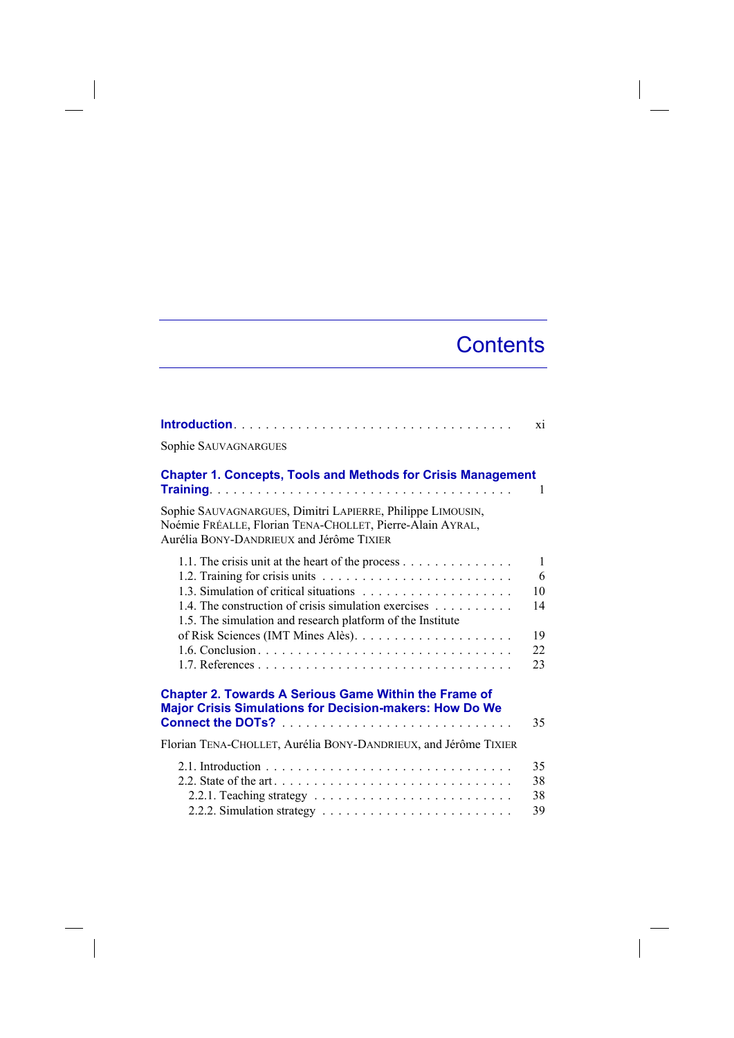## **Contents**

 $\overline{\phantom{a}}$ 

|                                                                                                                                                                     | xi           |
|---------------------------------------------------------------------------------------------------------------------------------------------------------------------|--------------|
| Sophie SAUVAGNARGUES                                                                                                                                                |              |
| <b>Chapter 1. Concepts, Tools and Methods for Crisis Management</b>                                                                                                 | 1            |
| Sophie SAUVAGNARGUES, Dimitri LAPIERRE, Philippe LIMOUSIN,<br>Noémie FRÉALLE, Florian TENA-CHOLLET, Pierre-Alain AYRAL,<br>Aurélia BONY-DANDRIEUX and Jérôme TIXIER |              |
|                                                                                                                                                                     | $\mathbf{1}$ |
|                                                                                                                                                                     | 6            |
|                                                                                                                                                                     | 10           |
| 1.4. The construction of crisis simulation exercises<br>1.5. The simulation and research platform of the Institute                                                  | 14           |
|                                                                                                                                                                     | 19           |
|                                                                                                                                                                     | 22           |
|                                                                                                                                                                     | 23           |
| <b>Chapter 2. Towards A Serious Game Within the Frame of</b><br><b>Major Crisis Simulations for Decision-makers: How Do We</b>                                      |              |
|                                                                                                                                                                     | 35           |
| Florian TENA-CHOLLET, Aurélia BONY-DANDRIEUX, and Jérôme TIXIER                                                                                                     |              |
|                                                                                                                                                                     | 35           |
|                                                                                                                                                                     | 38           |
|                                                                                                                                                                     | 38           |
|                                                                                                                                                                     | 39           |

 $\overline{\phantom{a}}$ 

 $\overline{\phantom{a}}$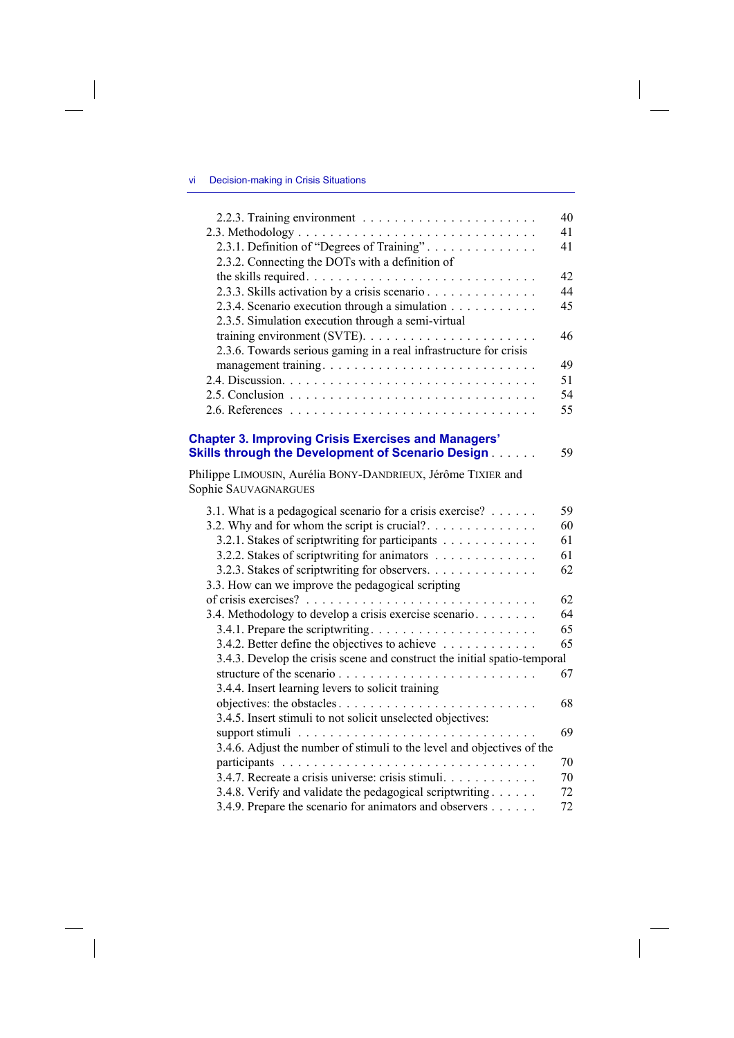## vi Decision-making in Crisis Situations

 $\overline{\phantom{a}}$ 

 $\overline{\phantom{a}}$ 

|                                                                           | 40 |
|---------------------------------------------------------------------------|----|
|                                                                           | 41 |
| 2.3.1. Definition of "Degrees of Training"                                | 41 |
| 2.3.2. Connecting the DOTs with a definition of                           |    |
|                                                                           | 42 |
| 2.3.3. Skills activation by a crisis scenario                             | 44 |
| 2.3.4. Scenario execution through a simulation                            | 45 |
| 2.3.5. Simulation execution through a semi-virtual                        |    |
|                                                                           | 46 |
| 2.3.6. Towards serious gaming in a real infrastructure for crisis         |    |
| management training                                                       | 49 |
|                                                                           | 51 |
|                                                                           | 54 |
|                                                                           | 55 |
|                                                                           |    |
| <b>Chapter 3. Improving Crisis Exercises and Managers'</b>                |    |
| <b>Skills through the Development of Scenario Design [1976]</b>           | 59 |
| Philippe LIMOUSIN, Aurélia BONY-DANDRIEUX, Jérôme TIXIER and              |    |
| Sophie SAUVAGNARGUES                                                      |    |
|                                                                           |    |
| 3.1. What is a pedagogical scenario for a crisis exercise?                | 59 |
| 3.2. Why and for whom the script is crucial?                              | 60 |
| 3.2.1. Stakes of scriptwriting for participants                           | 61 |
| 3.2.2. Stakes of scriptwriting for animators                              | 61 |
| 3.2.3. Stakes of scriptwriting for observers.                             | 62 |
| 3.3. How can we improve the pedagogical scripting                         |    |
|                                                                           | 62 |
| 3.4. Methodology to develop a crisis exercise scenario                    | 64 |
|                                                                           | 65 |
| 3.4.2. Better define the objectives to achieve                            | 65 |
| 3.4.3. Develop the crisis scene and construct the initial spatio-temporal |    |
|                                                                           | 67 |
| 3.4.4. Insert learning levers to solicit training                         |    |
|                                                                           | 68 |
| 3.4.5. Insert stimuli to not solicit unselected objectives:               |    |
|                                                                           | 69 |
| 3.4.6. Adjust the number of stimuli to the level and objectives of the    |    |
|                                                                           | 70 |
| 3.4.7. Recreate a crisis universe: crisis stimuli                         | 70 |
| 3.4.8. Verify and validate the pedagogical scriptwriting                  | 72 |
| 3.4.9. Prepare the scenario for animators and observers                   | 72 |

 $\overline{\phantom{a}}$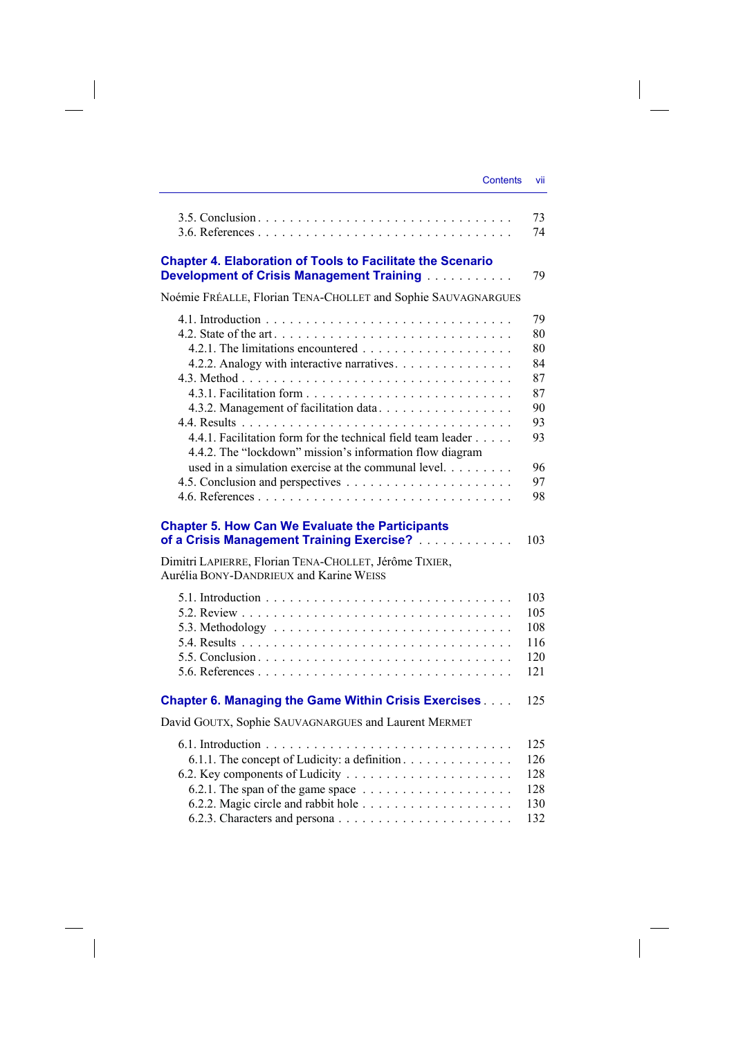|                 | VII |
|-----------------|-----|
| <b>Contents</b> |     |
|                 |     |

|                                                                                                                                                                                                                                                                           | 73<br>74                                                             |
|---------------------------------------------------------------------------------------------------------------------------------------------------------------------------------------------------------------------------------------------------------------------------|----------------------------------------------------------------------|
| <b>Chapter 4. Elaboration of Tools to Facilitate the Scenario</b><br><b>Development of Crisis Management Training [1966]</b>                                                                                                                                              | 79                                                                   |
| Noémie FRÉALLE, Florian TENA-CHOLLET and Sophie SAUVAGNARGUES                                                                                                                                                                                                             |                                                                      |
| 4.2.2. Analogy with interactive narratives.<br>4.3.2. Management of facilitation data<br>4.4.1. Facilitation form for the technical field team leader<br>4.4.2. The "lockdown" mission's information flow diagram<br>used in a simulation exercise at the communal level. | 79<br>80<br>80<br>84<br>87<br>87<br>90<br>93<br>93<br>96<br>97<br>98 |
| <b>Chapter 5. How Can We Evaluate the Participants</b><br>of a Crisis Management Training Exercise?                                                                                                                                                                       | 103                                                                  |
| Dimitri LAPIERRE, Florian TENA-CHOLLET, Jérôme TIXIER,<br>Aurélia BONY-DANDRIEUX and Karine WEISS                                                                                                                                                                         |                                                                      |
|                                                                                                                                                                                                                                                                           | 103<br>105<br>108<br>116<br>120<br>121                               |
| <b>Chapter 6. Managing the Game Within Crisis Exercises </b>                                                                                                                                                                                                              | 125                                                                  |
| David GOUTX, Sophie SAUVAGNARGUES and Laurent MERMET                                                                                                                                                                                                                      |                                                                      |
| 6.1.1. The concept of Ludicity: a definition.                                                                                                                                                                                                                             | 125<br>126<br>128<br>128<br>130<br>132                               |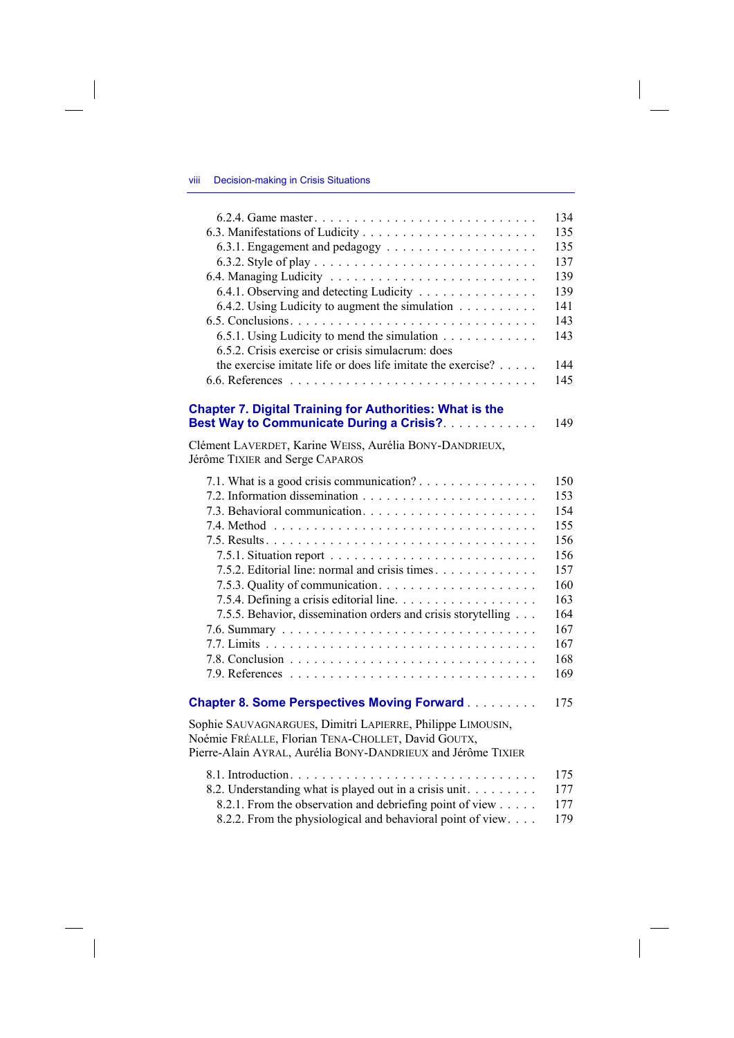## viii Decision-making in Crisis Situations

 $\overline{\phantom{a}}$ 

 $\begin{array}{c} \hline \end{array}$ 

|                                                                     | 134 |
|---------------------------------------------------------------------|-----|
|                                                                     | 135 |
|                                                                     | 135 |
|                                                                     | 137 |
|                                                                     | 139 |
| 6.4.1. Observing and detecting Ludicity                             | 139 |
| 6.4.2. Using Ludicity to augment the simulation $\dots \dots \dots$ | 141 |
|                                                                     | 143 |
| 6.5.1. Using Ludicity to mend the simulation                        | 143 |
| 6.5.2. Crisis exercise or crisis simulacrum: does                   |     |
| the exercise imitate life or does life imitate the exercise?        | 144 |
|                                                                     | 145 |
| <b>Chapter 7. Digital Training for Authorities: What is the</b>     |     |
| Best Way to Communicate During a Crisis?.                           | 149 |
| Clément LAVERDET, Karine WEISS, Aurélia BONY-DANDRIEUX,             |     |
| Jérôme TIXIER and Serge CAPAROS                                     |     |
| 7.1. What is a good crisis communication?                           | 150 |
|                                                                     | 153 |
|                                                                     | 154 |
|                                                                     | 155 |
|                                                                     | 156 |
|                                                                     | 156 |
| 7.5.2. Editorial line: normal and crisis times.                     | 157 |
|                                                                     | 160 |
|                                                                     | 163 |
| 7.5.5. Behavior, dissemination orders and crisis storytelling       | 164 |
|                                                                     | 167 |
|                                                                     | 167 |
|                                                                     | 168 |
|                                                                     | 169 |
| <b>Chapter 8. Some Perspectives Moving Forward</b>                  | 175 |
| Sophie SAUVAGNARGUES, Dimitri LAPIERRE, Philippe LIMOUSIN,          |     |
| Noémie FRÉALLE, Florian TENA-CHOLLET, David GOUTX,                  |     |
| Pierre-Alain AYRAL, Aurélia BONY-DANDRIEUX and Jérôme TIXIER        |     |
|                                                                     | 175 |
| 8.2. Understanding what is played out in a crisis unit              | 177 |
| 8.2.1. From the observation and debriefing point of view            | 177 |
| 8.2.2. From the physiological and behavioral point of view          | 179 |

 $\overline{\phantom{a}}$